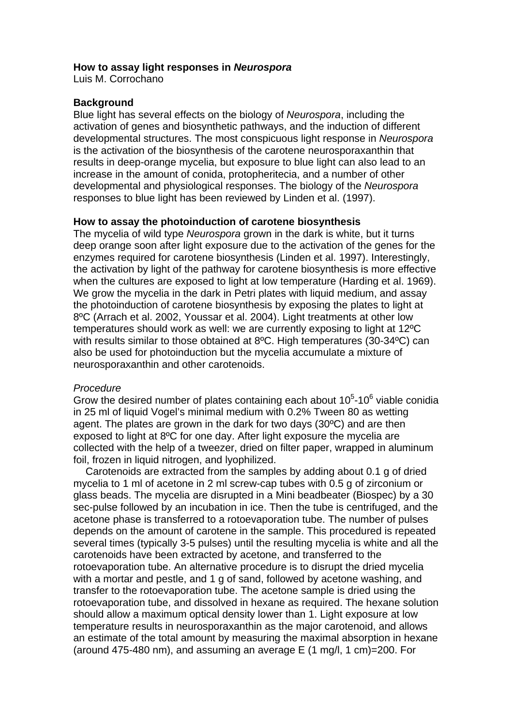### **How to assay light responses in** *Neurospora*

Luis M. Corrochano

### **Background**

Blue light has several effects on the biology of *Neurospora*, including the activation of genes and biosynthetic pathways, and the induction of different developmental structures. The most conspicuous light response in *Neurospora* is the activation of the biosynthesis of the carotene neurosporaxanthin that results in deep-orange mycelia, but exposure to blue light can also lead to an increase in the amount of conida, protopheritecia, and a number of other developmental and physiological responses. The biology of the *Neurospora* responses to blue light has been reviewed by Linden et al. (1997).

## **How to assay the photoinduction of carotene biosynthesis**

The mycelia of wild type *Neurospora* grown in the dark is white, but it turns deep orange soon after light exposure due to the activation of the genes for the enzymes required for carotene biosynthesis (Linden et al. 1997). Interestingly, the activation by light of the pathway for carotene biosynthesis is more effective when the cultures are exposed to light at low temperature (Harding et al. 1969). We grow the mycelia in the dark in Petri plates with liquid medium, and assay the photoinduction of carotene biosynthesis by exposing the plates to light at 8ºC (Arrach et al. 2002, Youssar et al. 2004). Light treatments at other low temperatures should work as well: we are currently exposing to light at 12ºC with results similar to those obtained at 8ºC. High temperatures (30-34ºC) can also be used for photoinduction but the mycelia accumulate a mixture of neurosporaxanthin and other carotenoids.

### *Procedure*

Grow the desired number of plates containing each about  $10<sup>5</sup>$ -10<sup>6</sup> viable conidia in 25 ml of liquid Vogel's minimal medium with 0.2% Tween 80 as wetting agent. The plates are grown in the dark for two days (30ºC) and are then exposed to light at 8ºC for one day. After light exposure the mycelia are collected with the help of a tweezer, dried on filter paper, wrapped in aluminum foil, frozen in liquid nitrogen, and lyophilized.

 Carotenoids are extracted from the samples by adding about 0.1 g of dried mycelia to 1 ml of acetone in 2 ml screw-cap tubes with 0.5 g of zirconium or glass beads. The mycelia are disrupted in a Mini beadbeater (Biospec) by a 30 sec-pulse followed by an incubation in ice. Then the tube is centrifuged, and the acetone phase is transferred to a rotoevaporation tube. The number of pulses depends on the amount of carotene in the sample. This procedured is repeated several times (typically 3-5 pulses) until the resulting mycelia is white and all the carotenoids have been extracted by acetone, and transferred to the rotoevaporation tube. An alternative procedure is to disrupt the dried mycelia with a mortar and pestle, and 1 g of sand, followed by acetone washing, and transfer to the rotoevaporation tube. The acetone sample is dried using the rotoevaporation tube, and dissolved in hexane as required. The hexane solution should allow a maximum optical density lower than 1. Light exposure at low temperature results in neurosporaxanthin as the major carotenoid, and allows an estimate of the total amount by measuring the maximal absorption in hexane (around 475-480 nm), and assuming an average  $E$  (1 mg/l, 1 cm)=200. For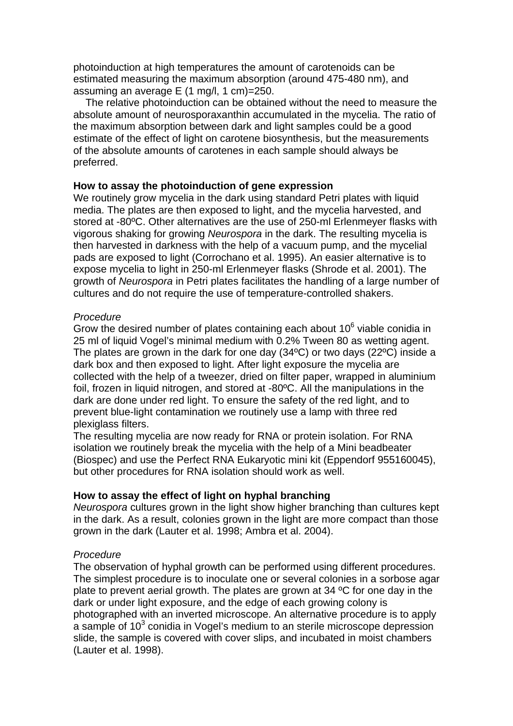photoinduction at high temperatures the amount of carotenoids can be estimated measuring the maximum absorption (around 475-480 nm), and assuming an average E (1 mg/l, 1 cm)=250.

 The relative photoinduction can be obtained without the need to measure the absolute amount of neurosporaxanthin accumulated in the mycelia. The ratio of the maximum absorption between dark and light samples could be a good estimate of the effect of light on carotene biosynthesis, but the measurements of the absolute amounts of carotenes in each sample should always be preferred.

# **How to assay the photoinduction of gene expression**

We routinely grow mycelia in the dark using standard Petri plates with liquid media. The plates are then exposed to light, and the mycelia harvested, and stored at -80ºC. Other alternatives are the use of 250-ml Erlenmeyer flasks with vigorous shaking for growing *Neurospora* in the dark. The resulting mycelia is then harvested in darkness with the help of a vacuum pump, and the mycelial pads are exposed to light (Corrochano et al. 1995). An easier alternative is to expose mycelia to light in 250-ml Erlenmeyer flasks (Shrode et al. 2001). The growth of *Neurospora* in Petri plates facilitates the handling of a large number of cultures and do not require the use of temperature-controlled shakers.

# *Procedure*

Grow the desired number of plates containing each about  $10<sup>6</sup>$  viable conidia in 25 ml of liquid Vogel's minimal medium with 0.2% Tween 80 as wetting agent. The plates are grown in the dark for one day (34ºC) or two days (22ºC) inside a dark box and then exposed to light. After light exposure the mycelia are collected with the help of a tweezer, dried on filter paper, wrapped in aluminium foil, frozen in liquid nitrogen, and stored at -80ºC. All the manipulations in the dark are done under red light. To ensure the safety of the red light, and to prevent blue-light contamination we routinely use a lamp with three red plexiglass filters.

The resulting mycelia are now ready for RNA or protein isolation. For RNA isolation we routinely break the mycelia with the help of a Mini beadbeater (Biospec) and use the Perfect RNA Eukaryotic mini kit (Eppendorf 955160045), but other procedures for RNA isolation should work as well.

# **How to assay the effect of light on hyphal branching**

*Neurospora* cultures grown in the light show higher branching than cultures kept in the dark. As a result, colonies grown in the light are more compact than those grown in the dark (Lauter et al. 1998; Ambra et al. 2004).

# *Procedure*

The observation of hyphal growth can be performed using different procedures. The simplest procedure is to inoculate one or several colonies in a sorbose agar plate to prevent aerial growth. The plates are grown at 34 ºC for one day in the dark or under light exposure, and the edge of each growing colony is photographed with an inverted microscope. An alternative procedure is to apply  $\alpha$  sample of 10<sup>3</sup> conidia in Vogel's medium to an sterile microscope depression slide, the sample is covered with cover slips, and incubated in moist chambers (Lauter et al. 1998).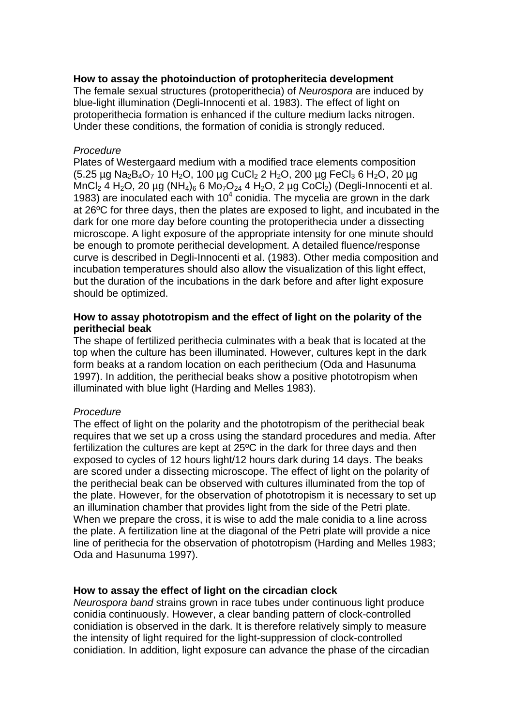## **How to assay the photoinduction of protopheritecia development**

The female sexual structures (protoperithecia) of *Neurospora* are induced by blue-light illumination (Degli-Innocenti et al. 1983). The effect of light on protoperithecia formation is enhanced if the culture medium lacks nitrogen. Under these conditions, the formation of conidia is strongly reduced.

### *Procedure*

Plates of Westergaard medium with a modified trace elements composition  $(5.25 \mu g \text{ Na}_2\text{B}_4\text{O}_7 10 \text{ H}_2\text{O}$ , 100  $\mu g \text{ CuCl}_2 2 \text{ H}_2\text{O}$ , 200  $\mu g \text{ FeCl}_3 6 \text{ H}_2\text{O}$ , 20  $\mu g$ MnCl<sub>2</sub> 4 H<sub>2</sub>O, 20 µg (NH<sub>4</sub>)<sub>6</sub> 6 Mo<sub>7</sub>O<sub>24</sub> 4 H<sub>2</sub>O, 2 µg CoCl<sub>2</sub>) (Degli-Innocenti et al. 1983) are inoculated each with  $10<sup>4</sup>$  conidia. The mycelia are grown in the dark at 26ºC for three days, then the plates are exposed to light, and incubated in the dark for one more day before counting the protoperithecia under a dissecting microscope. A light exposure of the appropriate intensity for one minute should be enough to promote perithecial development. A detailed fluence/response curve is described in Degli-Innocenti et al. (1983). Other media composition and incubation temperatures should also allow the visualization of this light effect, but the duration of the incubations in the dark before and after light exposure should be optimized.

## **How to assay phototropism and the effect of light on the polarity of the perithecial beak**

The shape of fertilized perithecia culminates with a beak that is located at the top when the culture has been illuminated. However, cultures kept in the dark form beaks at a random location on each perithecium (Oda and Hasunuma 1997). In addition, the perithecial beaks show a positive phototropism when illuminated with blue light (Harding and Melles 1983).

# *Procedure*

The effect of light on the polarity and the phototropism of the perithecial beak requires that we set up a cross using the standard procedures and media. After fertilization the cultures are kept at 25ºC in the dark for three days and then exposed to cycles of 12 hours light/12 hours dark during 14 days. The beaks are scored under a dissecting microscope. The effect of light on the polarity of the perithecial beak can be observed with cultures illuminated from the top of the plate. However, for the observation of phototropism it is necessary to set up an illumination chamber that provides light from the side of the Petri plate. When we prepare the cross, it is wise to add the male conidia to a line across the plate. A fertilization line at the diagonal of the Petri plate will provide a nice line of perithecia for the observation of phototropism (Harding and Melles 1983; Oda and Hasunuma 1997).

### **How to assay the effect of light on the circadian clock**

*Neurospora band* strains grown in race tubes under continuous light produce conidia continuously. However, a clear banding pattern of clock-controlled conidiation is observed in the dark. It is therefore relatively simply to measure the intensity of light required for the light-suppression of clock-controlled conidiation. In addition, light exposure can advance the phase of the circadian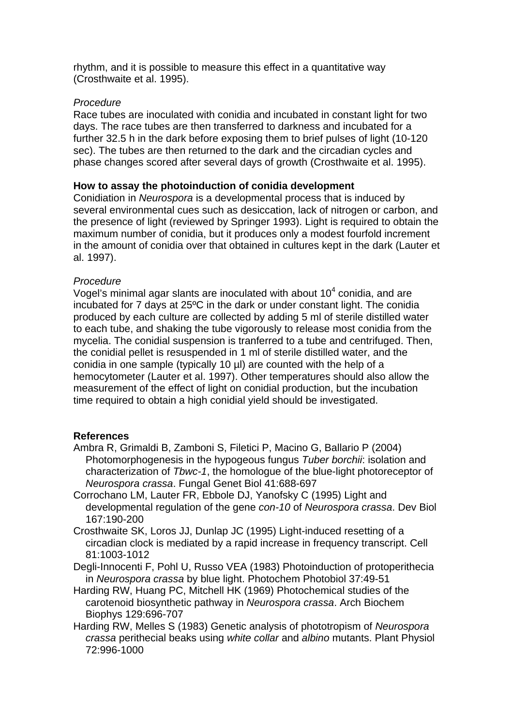rhythm, and it is possible to measure this effect in a quantitative way (Crosthwaite et al. 1995).

# *Procedure*

Race tubes are inoculated with conidia and incubated in constant light for two days. The race tubes are then transferred to darkness and incubated for a further 32.5 h in the dark before exposing them to brief pulses of light (10-120 sec). The tubes are then returned to the dark and the circadian cycles and phase changes scored after several days of growth (Crosthwaite et al. 1995).

# **How to assay the photoinduction of conidia development**

Conidiation in *Neurospora* is a developmental process that is induced by several environmental cues such as desiccation, lack of nitrogen or carbon, and the presence of light (reviewed by Springer 1993). Light is required to obtain the maximum number of conidia, but it produces only a modest fourfold increment in the amount of conidia over that obtained in cultures kept in the dark (Lauter et al. 1997).

# *Procedure*

Vogel's minimal agar slants are inoculated with about 10 $4$  conidia, and are incubated for 7 days at 25ºC in the dark or under constant light. The conidia produced by each culture are collected by adding 5 ml of sterile distilled water to each tube, and shaking the tube vigorously to release most conidia from the mycelia. The conidial suspension is tranferred to a tube and centrifuged. Then, the conidial pellet is resuspended in 1 ml of sterile distilled water, and the conidia in one sample (typically 10 µl) are counted with the help of a hemocytometer (Lauter et al. 1997). Other temperatures should also allow the measurement of the effect of light on conidial production, but the incubation time required to obtain a high conidial yield should be investigated.

# **References**

- Ambra R, Grimaldi B, Zamboni S, Filetici P, Macino G, Ballario P (2004) Photomorphogenesis in the hypogeous fungus *Tuber borchii*: isolation and characterization of *Tbwc-1*, the homologue of the blue-light photoreceptor of *Neurospora crassa*. Fungal Genet Biol 41:688-697
- Corrochano LM, Lauter FR, Ebbole DJ, Yanofsky C (1995) Light and developmental regulation of the gene *con-10* of *Neurospora crassa*. Dev Biol 167:190-200
- Crosthwaite SK, Loros JJ, Dunlap JC (1995) Light-induced resetting of a circadian clock is mediated by a rapid increase in frequency transcript. Cell 81:1003-1012
- Degli-Innocenti F, Pohl U, Russo VEA (1983) Photoinduction of protoperithecia in *Neurospora crassa* by blue light. Photochem Photobiol 37:49-51
- Harding RW, Huang PC, Mitchell HK (1969) Photochemical studies of the carotenoid biosynthetic pathway in *Neurospora crassa*. Arch Biochem Biophys 129:696-707
- Harding RW, Melles S (1983) Genetic analysis of phototropism of *Neurospora crassa* perithecial beaks using *white collar* and *albino* mutants. Plant Physiol 72:996-1000